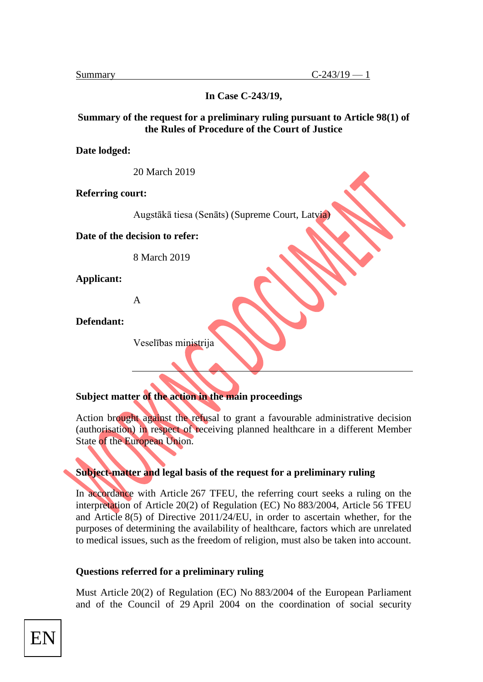**In Case C-243/19,**

#### **Summary of the request for a preliminary ruling pursuant to Article 98(1) of the Rules of Procedure of the Court of Justice**

**Date lodged:** 

20 March 2019

**Referring court:** 

Augstākā tiesa (Senāts) (Supreme Court, Latvia)

**Date of the decision to refer:** 

8 March 2019

**Applicant:** 

A

**Defendant:** 

Veselības ministrija

## **Subject matter of the action in the main proceedings**

Action brought against the refusal to grant a favourable administrative decision (authorisation) in respect of receiving planned healthcare in a different Member State of the European Union.

## **Subject-matter and legal basis of the request for a preliminary ruling**

In accordance with Article 267 TFEU, the referring court seeks a ruling on the interpretation of Article 20(2) of Regulation (EC) No 883/2004, Article 56 TFEU and Article 8(5) of Directive 2011/24/EU, in order to ascertain whether, for the purposes of determining the availability of healthcare, factors which are unrelated to medical issues, such as the freedom of religion, must also be taken into account.

#### **Questions referred for a preliminary ruling**

Must Article 20(2) of Regulation (EC) No 883/2004 of the European Parliament and of the Council of 29 April 2004 on the coordination of social security

EN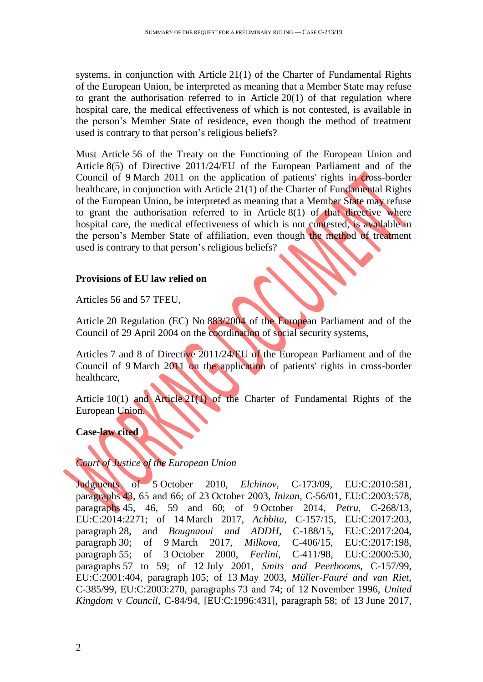systems, in conjunction with Article 21(1) of the Charter of Fundamental Rights of the European Union, be interpreted as meaning that a Member State may refuse to grant the authorisation referred to in Article 20(1) of that regulation where hospital care, the medical effectiveness of which is not contested, is available in the person's Member State of residence, even though the method of treatment used is contrary to that person's religious beliefs?

Must Article 56 of the Treaty on the Functioning of the European Union and Article 8(5) of Directive 2011/24/EU of the European Parliament and of the Council of 9 March 2011 on the application of patients' rights in cross-border healthcare, in conjunction with Article 21(1) of the Charter of Fundamental Rights of the European Union, be interpreted as meaning that a Member State may refuse to grant the authorisation referred to in Article 8(1) of that directive where hospital care, the medical effectiveness of which is not contested, is available in the person's Member State of affiliation, even though the method of treatment used is contrary to that person's religious beliefs?

# **Provisions of EU law relied on**

Articles 56 and 57 TFEU,

Article 20 Regulation (EC) No 883/2004 of the European Parliament and of the Council of 29 April 2004 on the coordination of social security systems,

Articles 7 and 8 of Directive 2011/24/EU of the European Parliament and of the Council of 9 March 2011 on the application of patients' rights in cross-border healthcare,

Article 10(1) and Article 21(1) of the Charter of Fundamental Rights of the European Union.

**Case-law cited**

## *Court of Justice of the European Union*

Judgments of 5 October 2010, *Elchinov*, C-173/09, EU:C:2010:581, paragraphs 43, 65 and 66; of 23 October 2003, *Inizan*, C-56/01, EU:C:2003:578, paragraphs 45, 46, 59 and 60; of 9 October 2014, *Petru*, C-268/13, EU:C:2014:2271; of 14 March 2017, *Achbita*, C-157/15, EU:C:2017:203, paragraph 28, and *Bougnaoui and ADDH*, C-188/15, EU:C:2017:204, paragraph 30; of 9 March 2017, *Milkova*, C-406/15, EU:C:2017:198, paragraph 55; of 3 October 2000, *Ferlini*, C-411/98, EU:C:2000:530, paragraphs 57 to 59; of 12 July 2001, *Smits and Peerbooms*, C-157/99, EU:C:2001:404, paragraph 105; of 13 May 2003, *Müller-Fauré and van Riet*, C-385/99, EU:C:2003:270, paragraphs 73 and 74; of 12 November 1996, *United Kingdom* v *Council*, C-84/94, [EU:C:1996:431], paragraph 58; of 13 June 2017,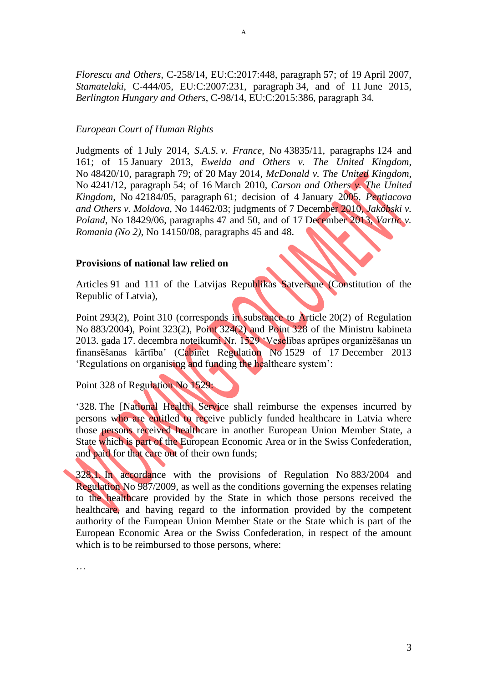*Florescu and Others*, C-258/14, EU:C:2017:448, paragraph 57; of 19 April 2007, *Stamatelaki*, C-444/05, EU:C:2007:231, paragraph 34, and of 11 June 2015, *Berlington Hungary and Others*, C-98/14, EU:C:2015:386, paragraph 34.

#### *European Court of Human Rights*

Judgments of 1 July 2014, *S.A.S. v. France*, No 43835/11, paragraphs 124 and 161; of 15 January 2013, *Eweida and Others v. The United Kingdom*, No 48420/10, paragraph 79; of 20 May 2014, *McDonald v. The United Kingdom*, No 4241/12, paragraph 54; of 16 March 2010, *Carson and Others v. The United Kingdom,* No 42184/05, paragraph 61; decision of 4 January 2005, *Pentiacova and Others v. Moldova*, No 14462/03; judgments of 7 December 2010*, Jakóbski v. Poland*, No 18429/06, paragraphs 47 and 50, and of 17 December 2013, *Vartic v. Romania (No 2)*, No 14150/08, paragraphs 45 and 48.

#### **Provisions of national law relied on**

Articles 91 and 111 of the Latvijas Republikas Satversme (Constitution of the Republic of Latvia),

Point 293(2), Point 310 (corresponds in substance to Article 20(2) of Regulation No 883/2004), Point 323(2), Point 324(2) and Point 328 of the Ministru kabineta 2013. gada 17. decembra noteikumi Nr. 1529 'Veselības aprūpes organizēšanas un finansēšanas kārtība' (Cabinet Regulation No 1529 of 17 December 2013 'Regulations on organising and funding the healthcare system':

Point 328 of Regulation No 1529:

'328. The [National Health] Service shall reimburse the expenses incurred by persons who are entitled to receive publicly funded healthcare in Latvia where those persons received healthcare in another European Union Member State, a State which is part of the European Economic Area or in the Swiss Confederation, and paid for that care out of their own funds;

328.1. In accordance with the provisions of Regulation No 883/2004 and Regulation No 987/2009, as well as the conditions governing the expenses relating to the healthcare provided by the State in which those persons received the healthcare, and having regard to the information provided by the competent authority of the European Union Member State or the State which is part of the European Economic Area or the Swiss Confederation, in respect of the amount which is to be reimbursed to those persons, where:

…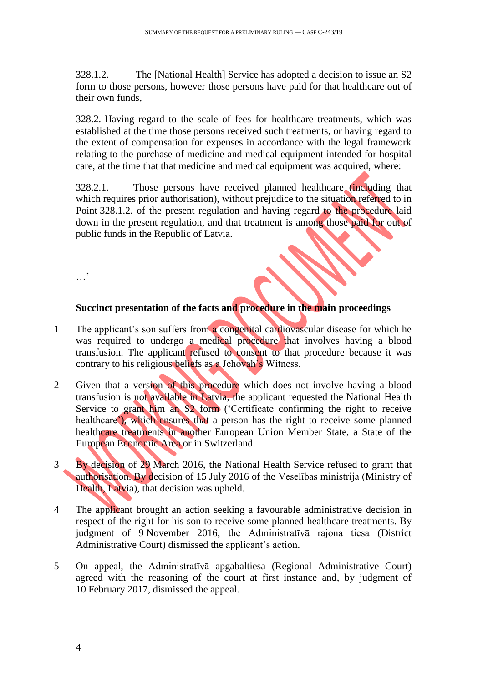328.1.2. The [National Health] Service has adopted a decision to issue an S2 form to those persons, however those persons have paid for that healthcare out of their own funds,

328.2. Having regard to the scale of fees for healthcare treatments, which was established at the time those persons received such treatments, or having regard to the extent of compensation for expenses in accordance with the legal framework relating to the purchase of medicine and medical equipment intended for hospital care, at the time that that medicine and medical equipment was acquired, where:

328.2.1. Those persons have received planned healthcare (including that which requires prior authorisation), without prejudice to the situation referred to in Point 328.1.2. of the present regulation and having regard to the procedure laid down in the present regulation, and that treatment is among those paid for out of public funds in the Republic of Latvia.

**Succinct presentation of the facts and procedure in the main proceedings**

- 1 The applicant's son suffers from a congenital cardiovascular disease for which he was required to undergo a medical procedure that involves having a blood transfusion. The applicant refused to consent to that procedure because it was contrary to his religious beliefs as a Jehovah's Witness.
- 2 Given that a version of this procedure which does not involve having a blood transfusion is not available in Latvia, the applicant requested the National Health Service to grant him an S2 form ('Certificate confirming the right to receive healthcare'), which ensures that a person has the right to receive some planned healthcare treatments in another European Union Member State, a State of the European Economic Area or in Switzerland.
- 3 By decision of 29 March 2016, the National Health Service refused to grant that authorisation. By decision of 15 July 2016 of the Veselības ministrija (Ministry of Health, Latvia), that decision was upheld.
- 4 The applicant brought an action seeking a favourable administrative decision in respect of the right for his son to receive some planned healthcare treatments. By judgment of 9 November 2016, the Administratīvā rajona tiesa (District Administrative Court) dismissed the applicant's action.
- 5 On appeal, the Administratīvā apgabaltiesa (Regional Administrative Court) agreed with the reasoning of the court at first instance and, by judgment of 10 February 2017, dismissed the appeal.

…'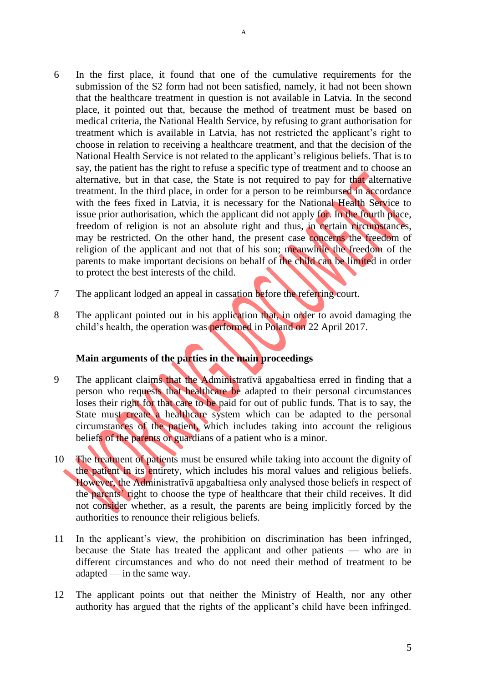- 6 In the first place, it found that one of the cumulative requirements for the submission of the S2 form had not been satisfied, namely, it had not been shown that the healthcare treatment in question is not available in Latvia. In the second place, it pointed out that, because the method of treatment must be based on medical criteria, the National Health Service, by refusing to grant authorisation for treatment which is available in Latvia, has not restricted the applicant's right to choose in relation to receiving a healthcare treatment, and that the decision of the National Health Service is not related to the applicant's religious beliefs. That is to say, the patient has the right to refuse a specific type of treatment and to choose an alternative, but in that case, the State is not required to pay for that alternative treatment. In the third place, in order for a person to be reimbursed in accordance with the fees fixed in Latvia, it is necessary for the National Health Service to issue prior authorisation, which the applicant did not apply for. In the fourth place, freedom of religion is not an absolute right and thus, in certain circumstances, may be restricted. On the other hand, the present case concerns the freedom of religion of the applicant and not that of his son; meanwhile the freedom of the parents to make important decisions on behalf of the child can be limited in order to protect the best interests of the child.
- 7 The applicant lodged an appeal in cassation before the referring court.
- 8 The applicant pointed out in his application that, in order to avoid damaging the child's health, the operation was performed in Poland on 22 April 2017.

## **Main arguments of the parties in the main proceedings**

- 9 The applicant claims that the Administratīvā apgabaltiesa erred in finding that a person who requests that healthcare be adapted to their personal circumstances loses their right for that care to be paid for out of public funds. That is to say, the State must create a healthcare system which can be adapted to the personal circumstances of the patient, which includes taking into account the religious beliefs of the parents or guardians of a patient who is a minor.
- 10 The treatment of patients must be ensured while taking into account the dignity of the patient in its entirety, which includes his moral values and religious beliefs. However, the Administratīvā apgabaltiesa only analysed those beliefs in respect of the parents' right to choose the type of healthcare that their child receives. It did not consider whether, as a result, the parents are being implicitly forced by the authorities to renounce their religious beliefs.
- 11 In the applicant's view, the prohibition on discrimination has been infringed, because the State has treated the applicant and other patients –– who are in different circumstances and who do not need their method of treatment to be  $adapted$ — in the same way.
- 12 The applicant points out that neither the Ministry of Health, nor any other authority has argued that the rights of the applicant's child have been infringed.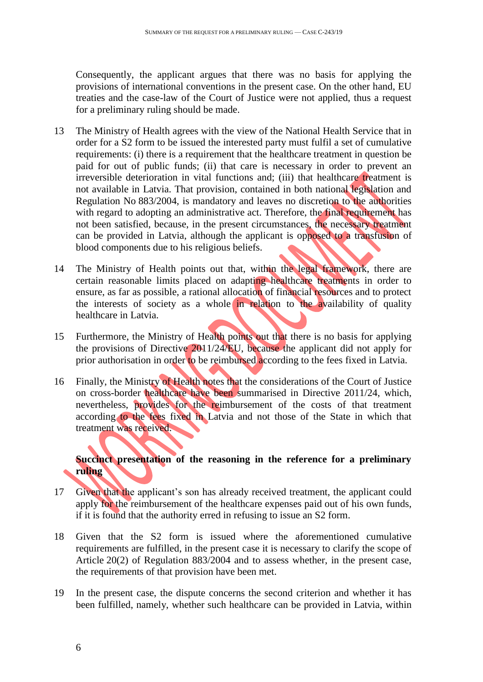Consequently, the applicant argues that there was no basis for applying the provisions of international conventions in the present case. On the other hand, EU treaties and the case-law of the Court of Justice were not applied, thus a request for a preliminary ruling should be made.

- 13 The Ministry of Health agrees with the view of the National Health Service that in order for a S2 form to be issued the interested party must fulfil a set of cumulative requirements: (i) there is a requirement that the healthcare treatment in question be paid for out of public funds; (ii) that care is necessary in order to prevent an irreversible deterioration in vital functions and; (iii) that healthcare treatment is not available in Latvia. That provision, contained in both national legislation and Regulation No 883/2004, is mandatory and leaves no discretion to the authorities with regard to adopting an administrative act. Therefore, the final requirement has not been satisfied, because, in the present circumstances, the necessary treatment can be provided in Latvia, although the applicant is opposed to a transfusion of blood components due to his religious beliefs.
- 14 The Ministry of Health points out that, within the legal framework, there are certain reasonable limits placed on adapting healthcare treatments in order to ensure, as far as possible, a rational allocation of financial resources and to protect the interests of society as a whole in relation to the availability of quality healthcare in Latvia.
- 15 Furthermore, the Ministry of Health points out that there is no basis for applying the provisions of Directive 2011/24/EU, because the applicant did not apply for prior authorisation in order to be reimbursed according to the fees fixed in Latvia.
- 16 Finally, the Ministry of Health notes that the considerations of the Court of Justice on cross-border healthcare have been summarised in Directive 2011/24, which, nevertheless, provides for the reimbursement of the costs of that treatment according to the fees fixed in Latvia and not those of the State in which that treatment was received.

# **Succinct presentation of the reasoning in the reference for a preliminary ruling**

- 17 Given that the applicant's son has already received treatment, the applicant could apply for the reimbursement of the healthcare expenses paid out of his own funds, if it is found that the authority erred in refusing to issue an S2 form.
- 18 Given that the S2 form is issued where the aforementioned cumulative requirements are fulfilled, in the present case it is necessary to clarify the scope of Article 20(2) of Regulation 883/2004 and to assess whether, in the present case, the requirements of that provision have been met.
- 19 In the present case, the dispute concerns the second criterion and whether it has been fulfilled, namely, whether such healthcare can be provided in Latvia, within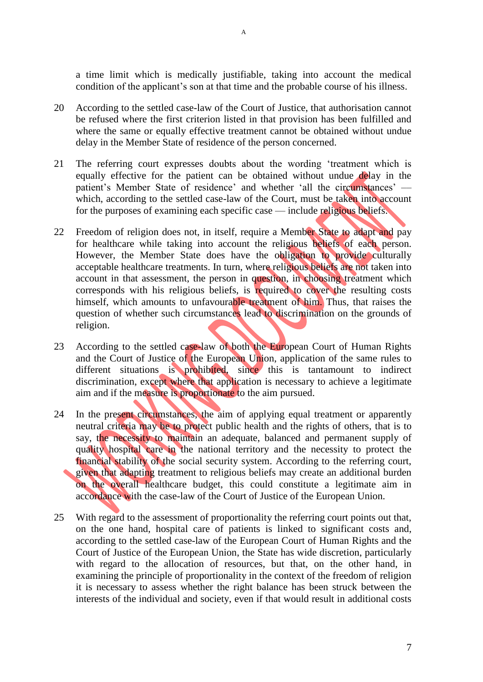a time limit which is medically justifiable, taking into account the medical condition of the applicant's son at that time and the probable course of his illness.

- 20 According to the settled case-law of the Court of Justice, that authorisation cannot be refused where the first criterion listed in that provision has been fulfilled and where the same or equally effective treatment cannot be obtained without undue delay in the Member State of residence of the person concerned.
- 21 The referring court expresses doubts about the wording 'treatment which is equally effective for the patient can be obtained without undue delay in the patient's Member State of residence' and whether 'all the circumstances' which, according to the settled case-law of the Court, must be taken into account for the purposes of examining each specific case — include religious beliefs.
- 22 Freedom of religion does not, in itself, require a Member State to adapt and pay for healthcare while taking into account the religious beliefs of each person. However, the Member State does have the obligation to provide culturally acceptable healthcare treatments. In turn, where religious beliefs are not taken into account in that assessment, the person in question, in choosing treatment which corresponds with his religious beliefs, is required to cover the resulting costs himself, which amounts to unfavourable treatment of him. Thus, that raises the question of whether such circumstances lead to discrimination on the grounds of religion.
- 23 According to the settled case-law of both the European Court of Human Rights and the Court of Justice of the European Union, application of the same rules to different situations is prohibited, since this is tantamount to indirect discrimination, except where that application is necessary to achieve a legitimate aim and if the measure is proportionate to the aim pursued.
- 24 In the present circumstances, the aim of applying equal treatment or apparently neutral criteria may be to protect public health and the rights of others, that is to say, the necessity to maintain an adequate, balanced and permanent supply of quality hospital care in the national territory and the necessity to protect the financial stability of the social security system. According to the referring court, given that adapting treatment to religious beliefs may create an additional burden on the overall healthcare budget, this could constitute a legitimate aim in accordance with the case-law of the Court of Justice of the European Union.
- 25 With regard to the assessment of proportionality the referring court points out that, on the one hand, hospital care of patients is linked to significant costs and, according to the settled case-law of the European Court of Human Rights and the Court of Justice of the European Union, the State has wide discretion, particularly with regard to the allocation of resources, but that, on the other hand, in examining the principle of proportionality in the context of the freedom of religion it is necessary to assess whether the right balance has been struck between the interests of the individual and society, even if that would result in additional costs